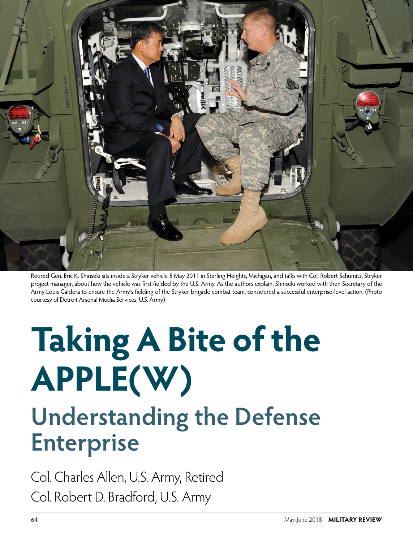

Retired Gen. Eric K. Shinseki sits inside a Stryker vehicle 5 May 2011 in Sterling Heights, Michigan, and talks with Col. Robert Schumitz, Stryker project manager, about how the vehicle was first fielded by the U.S. Army. As the authors explain, Shinseki worked with then Secretary of the Army Louis Caldera to ensure the Army's fielding of the Stryker brigade combat team, considered a successful enterprise-level action. (Photo courtesy of Detroit Arsenal Media Services, U.S. Army)

# **Taking A Bite of the APPLE(W)**

## **Understanding the Defense Enterprise**

Col. Charles Allen, U.S. Army, Retired Col. Robert D. Bradford, U.S. Army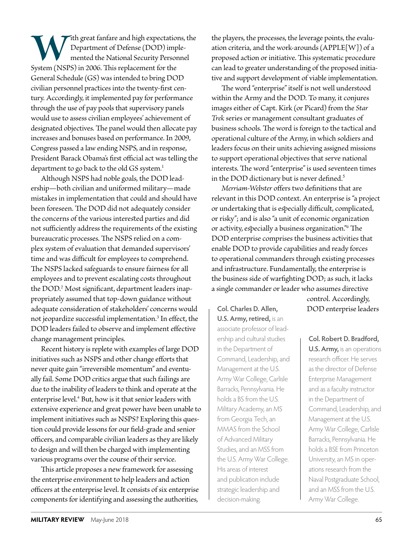With great fanfare and high expectations, the Department of Defense (DOD) implemented the National Security Personnel System (NSPS) in 2006. This replacement for the Department of Defense (DOD) implemented the National Security Personnel General Schedule (GS) was intended to bring DOD civilian personnel practices into the twenty-first century. Accordingly, it implemented pay for performance through the use of pay pools that supervisory panels would use to assess civilian employees' achievement of designated objectives. The panel would then allocate pay increases and bonuses based on performance. In 2009, Congress passed a law ending NSPS, and in response, President Barack Obama's first official act was telling the department to go back to the old GS system.<sup>1</sup>

Although NSPS had noble goals, the DOD leadership—both civilian and uniformed military—made mistakes in implementation that could and should have been foreseen. The DOD did not adequately consider the concerns of the various interested parties and did not sufficiently address the requirements of the existing bureaucratic processes. The NSPS relied on a complex system of evaluation that demanded supervisors' time and was difficult for employees to comprehend. The NSPS lacked safeguards to ensure fairness for all employees and to prevent escalating costs throughout the DOD.2 Most significant, department leaders inappropriately assumed that top-down guidance without adequate consideration of stakeholders' concerns would not jeopardize successful implementation.3 In effect, the DOD leaders failed to observe and implement effective change management principles.

Recent history is replete with examples of large DOD initiatives such as NSPS and other change efforts that never quite gain "irreversible momentum" and eventually fail. Some DOD critics argue that such failings are due to the inability of leaders to think and operate at the enterprise level.4 But, how is it that senior leaders with extensive experience and great power have been unable to implement initiatives such as NSPS? Exploring this question could provide lessons for our field-grade and senior officers, and comparable civilian leaders as they are likely to design and will then be charged with implementing various programs over the course of their service.

This article proposes a new framework for assessing the enterprise environment to help leaders and action officers at the enterprise level. It consists of six enterprise components for identifying and assessing the authorities,

the players, the processes, the leverage points, the evaluation criteria, and the work-arounds (APPLE[W]) of a proposed action or initiative. This systematic procedure can lead to greater understanding of the proposed initiative and support development of viable implementation.

The word "enterprise" itself is not well understood within the Army and the DOD. To many, it conjures images either of Capt. Kirk (or Picard) from the *Star Trek* series or management consultant graduates of business schools. The word is foreign to the tactical and operational culture of the Army, in which soldiers and leaders focus on their units achieving assigned missions to support operational objectives that serve national interests. The word "enterprise" is used seventeen times in the DOD dictionary but is never defined.<sup>5</sup>

*Mer riam-Webster* offers two definitions that are relevant in this DOD context. An enterprise is "a project or undertaking that is especially difficult, complicated, or risky"; and is also "a unit of economic organization or activity, especially a business organization."6 The DOD enterprise comprises the business activities that enable DOD to provide capabilities and ready forces to operational commanders through existing processes and infrastructure. Fundamentally, the enterprise is the business side of warfighting DOD; as such, it lacks a single commander or leader who assumes directive

**Col. Charles D. Allen,** DOD enterprise leaders **U.S. Army, retired,** is an associate professor of leadership and cultural studies in the Department of Command, Leadership, and Management at the U.S. Army War College, Carlisle Barracks, Pennsylvania. He holds a BS from the U.S. Military Academy, an MS from Georgia Tech, an MMAS from the School of Advanced Military Studies, and an MSS from the U.S. Army War College. His areas of interest and publication include strategic leadership and decision-making.

control. Accordingly,

**Col. Robert D. Bradford, U.S. Army,** is an operations research officer. He serves as the director of Defense Enterprise Management and as a faculty instructor in the Department of Command, Leadership, and Management at the U.S. Army War College, Carlisle Barracks, Pennsylvania. He holds a BSE from Princeton University, an MS in operations research from the Naval Postgraduate School, and an MSS from the U.S. Army War College.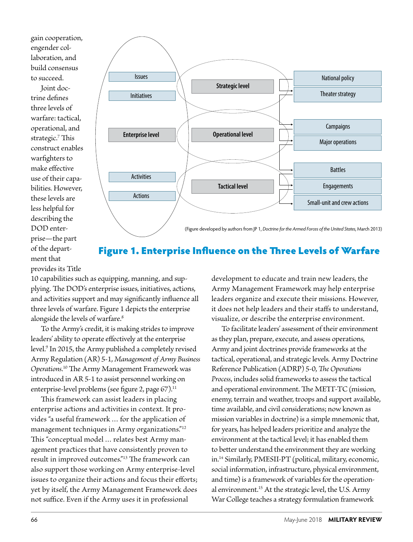gain cooperation, engender collaboration, and build consensus to succeed.

Joint doctrine defines three levels of warfare: tactical, operational, and strategic.<sup>7</sup> This construct enables warfighters to make effective use of their capabilities. However, these levels are less helpful for describing the DOD enterprise—the part of the department that provides its Title



### Figure 1. Enterprise Influence on the Three Levels of Warfare

10 capabilities such as equipping, manning, and supplying. The DOD's enterprise issues, initiatives, actions, and activities support and may significantly influence all three levels of warfare. Figure 1 depicts the enterprise alongside the levels of warfare.<sup>8</sup>

To the Army's credit, it is making strides to improve leaders' ability to operate effectively at the enterprise level.9 In 2015, the Army published a completely revised Army Regulation (AR) 5-1, *Management of Army Business Operations*. 10 The Army Management Framework was introduced in AR 5-1 to assist personnel working on enterprise-level problems (see figure 2, page  $67$ ).<sup>11</sup>

This framework can assist leaders in placing enterprise actions and activities in context. It provides "a useful framework … for the application of management techniques in Army organizations."12 This "conceptual model … relates best Army management practices that have consistently proven to result in improved outcomes."13 The framework can also support those working on Army enterprise-level issues to organize their actions and focus their efforts; yet by itself, the Army Management Framework does not suffice. Even if the Army uses it in professional

development to educate and train new leaders, the Army Management Framework may help enterprise leaders organize and execute their missions. However, it does not help leaders and their staffs to understand, visualize, or describe the enterprise environment.

To facilitate leaders' assessment of their environment as they plan, prepare, execute, and assess operations, Army and joint doctrines provide frameworks at the tactical, operational, and strategic levels. Army Doctrine Reference Publication (ADRP) 5-0, *The Operations Process*, includes solid frameworks to assess the tactical and operational environment. The METT-TC (mission, enemy, terrain and weather, troops and support available, time available, and civil considerations; now known as mission variables in doctrine) is a simple mnemonic that, for years, has helped leaders prioritize and analyze the environment at the tactical level; it has enabled them to better understand the environment they are working in.14 Similarly, PMESII-PT (political, military, economic, social information, infrastructure, physical environment, and time) is a framework of variables for the operational environment.15 At the strategic level, the U.S. Army War College teaches a strategy formulation framework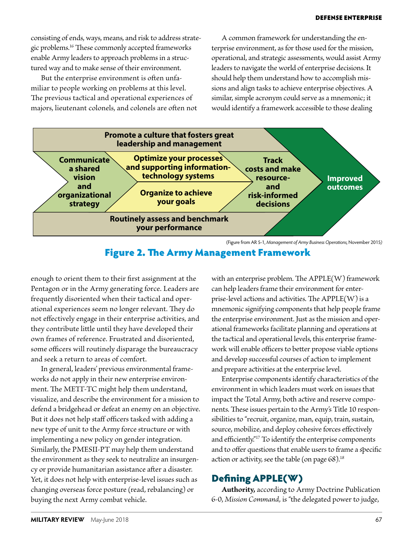consisting of ends, ways, means, and risk to address strategic problems.16 These commonly accepted frameworks enable Army leaders to approach problems in a structured way and to make sense of their environment.

But the enterprise environment is often unfamiliar to people working on problems at this level. The previous tactical and operational experiences of majors, lieutenant colonels, and colonels are often not

A common framework for understanding the enterprise environment, as for those used for the mission, operational, and strategic assessments, would assist Army leaders to navigate the world of enterprise decisions. It should help them understand how to accomplish missions and align tasks to achieve enterprise objectives. A similar, simple acronym could serve as a mnemonic; it would identify a framework accessible to those dealing



<sup>(</sup>Figure from AR 5-1, *Management of Army Business Operations,* November 2015*)*

#### Figure 2. The Army Management Framework

enough to orient them to their first assignment at the Pentagon or in the Army generating force. Leaders are frequently disoriented when their tactical and operational experiences seem no longer relevant. They do not effectively engage in their enterprise activities, and they contribute little until they have developed their own frames of reference. Frustrated and disoriented, some officers will routinely disparage the bureaucracy and seek a return to areas of comfort.

In general, leaders' previous environmental frameworks do not apply in their new enterprise environment. The METT-TC might help them understand, visualize, and describe the environment for a mission to defend a bridgehead or defeat an enemy on an objective. But it does not help staff officers tasked with adding a new type of unit to the Army force structure or with implementing a new policy on gender integration. Similarly, the PMESII-PT may help them understand the environment as they seek to neutralize an insurgency or provide humanitarian assistance after a disaster. Yet, it does not help with enterprise-level issues such as changing overseas force posture (read, rebalancing) or buying the next Army combat vehicle.

with an enterprise problem. The APPLE(W) framework can help leaders frame their environment for enterprise-level actions and activities. The APPLE(W) is a mnemonic signifying components that help people frame the enterprise environment. Just as the mission and operational frameworks facilitate planning and operations at the tactical and operational levels, this enterprise framework will enable officers to better propose viable options and develop successful courses of action to implement and prepare activities at the enterprise level.

Enterprise components identify characteristics of the environment in which leaders must work on issues that impact the Total Army, both active and reserve components. These issues pertain to the Army's Title 10 responsibilities to "recruit, organize, man, equip, train, sustain, source, mobilize, and deploy cohesive forces effectively and efficiently."17 To identify the enterprise components and to offer questions that enable users to frame a specific action or activity, see the table (on page  $68$ ).<sup>18</sup>

#### Defining APPLE(W)

**Authority,** according to Army Doctrine Publication 6-0, *Mission Command,* is "the delegated power to judge,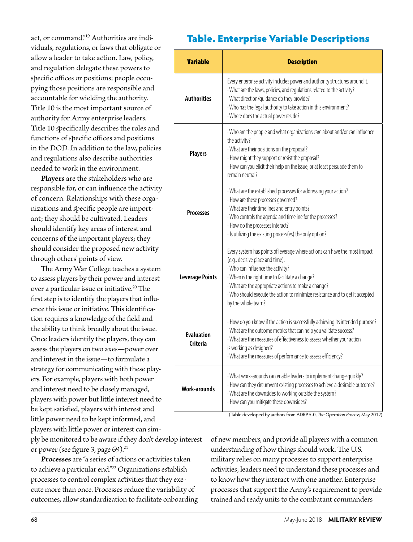act, or command."19 Authorities are individuals, regulations, or laws that obligate or allow a leader to take action. Law, policy, and regulation delegate these powers to specific offices or positions; people occupying those positions are responsible and accountable for wielding the authority. Title 10 is the most important source of authority for Army enterprise leaders. Title 10 specifically describes the roles and functions of specific offices and positions in the DOD. In addition to the law, policies and regulations also describe authorities needed to work in the environment.

**Players** are the stakeholders who are responsible for, or can influence the activity of concern. Relationships with these organizations and specific people are important; they should be cultivated. Leaders should identify key areas of interest and concerns of the important players; they should consider the proposed new activity through others' points of view.

The Army War College teaches a system to assess players by their power and interest over a particular issue or initiative.<sup>20</sup> The first step is to identify the players that influence this issue or initiative. This identification requires a knowledge of the field and the ability to think broadly about the issue. Once leaders identify the players, they can assess the players on two axes—power over and interest in the issue—to formulate a strategy for communicating with these players. For example, players with both power and interest need to be closely managed, players with power but little interest need to be kept satisfied, players with interest and little power need to be kept informed, and players with little power or interest can sim-

ply be monitored to be aware if they don't develop interest or power (see figure 3, page 69).<sup>21</sup>

**Processes** are "a series of actions or activities taken to achieve a particular end."<sup>22</sup> Organizations establish processes to control complex activities that they execute more than once. Processes reduce the variability of outcomes, allow standardization to facilitate onboarding

### Table. Enterprise Variable Descriptions

| <b>Variable</b>               | <b>Description</b>                                                                                                                                                                                                                                                                                                                                                     |
|-------------------------------|------------------------------------------------------------------------------------------------------------------------------------------------------------------------------------------------------------------------------------------------------------------------------------------------------------------------------------------------------------------------|
| <b>Authorities</b>            | Every enterprise activity includes power and authority structures around it.<br>· What are the laws, policies, and regulations related to the activity?<br>· What direction/guidance do they provide?<br>· Who has the legal authority to take action in this environment?<br>· Where does the actual power reside?                                                    |
| <b>Players</b>                | · Who are the people and what organizations care about and/or can influence<br>the activity?<br>· What are their positions on the proposal?<br>· How might they support or resist the proposal?<br>· How can you elicit their help on the issue, or at least persuade them to<br>remain neutral?                                                                       |
| <b>Processes</b>              | · What are the established processes for addressing your action?<br>· How are these processes governed?<br>· What are their timelines and entry points?<br>· Who controls the agenda and timeline for the processes?<br>· How do the processes interact?<br>· Is utilizing the existing process(es) the only option?                                                   |
| <b>Leverage Points</b>        | Every system has points of leverage where actions can have the most impact<br>(e.g., decisive place and time).<br>· Who can influence the activity?<br>· When is the right time to facilitate a change?<br>· What are the appropriate actions to make a change?<br>· Who should execute the action to minimize resistance and to get it accepted<br>by the whole team? |
| <b>Evaluation</b><br>Criteria | · How do you know if the action is successfully achieving its intended purpose?<br>· What are the outcome metrics that can help you validate success?<br>· What are the measures of effectiveness to assess whether your action<br>is working as designed?<br>· What are the measures of performance to assess efficiency?                                             |
| <b>Work-arounds</b>           | · What work-arounds can enable leaders to implement change quickly?<br>· How can they circumvent existing processes to achieve a desirable outcome?<br>· What are the downsides to working outside the system?<br>· How can you mitigate these downsides?                                                                                                              |

(Table developed by authors from ADRP 5-0, *The Operation Process,* May 2012)

of new members, and provide all players with a common understanding of how things should work. The U.S. military relies on many processes to support enterprise activities; leaders need to understand these processes and to know how they interact with one another. Enterprise processes that support the Army's requirement to provide trained and ready units to the combatant commanders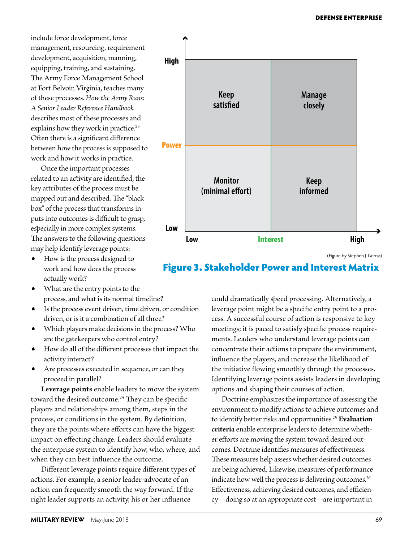include force development, force management, resourcing, requirement development, acquisition, manning, equipping, training, and sustaining. The Army Force Management School at Fort Belvoir, Virginia, teaches many of these processes. *How the Army Runs: A Senior Leader Reference Handbook* describes most of these processes and explains how they work in practice.<sup>23</sup> Often there is a significant difference between how the process is supposed to work and how it works in practice.

Once the important processes related to an activity are identified, the key attributes of the process must be mapped out and described. The "black box" of the process that transforms inputs into outcomes is difficult to grasp, especially in more complex systems. The answers to the following questions may help identify leverage points:

- How is the process designed to work and how does the process actually work?
- What are the entry points to the process, and what is its normal timeline?
- Is the process event driven, time driven, or condition driven, or is it a combination of all three?
- Which players make decisions in the process? Who are the gatekeepers who control entry?
- How do all of the different processes that impact the activity interact?
- Are processes executed in sequence, or can they proceed in parallel?

**Leverage points** enable leaders to move the system toward the desired outcome.<sup>24</sup> They can be specific players and relationships among them, steps in the process, or conditions in the system. By definition, they are the points where efforts can have the biggest impact on effecting change. Leaders should evaluate the enterprise system to identify how, who, where, and when they can best influence the outcome.

Different leverage points require different types of actions. For example, a senior leader-advocate of an action can frequently smooth the way forward. If the right leader supports an activity, his or her influence



(Figure by Stephen J. Gerras)

#### Figure 3. Stakeholder Power and Interest Matrix

could dramatically speed processing. Alternatively, a leverage point might be a specific entry point to a process. A successful course of action is responsive to key meetings; it is paced to satisfy specific process requirements. Leaders who understand leverage points can concentrate their actions to prepare the environment, influence the players, and increase the likelihood of the initiative flowing smoothly through the processes. Identifying leverage points assists leaders in developing options and shaping their courses of action.

Doctrine emphasizes the importance of assessing the environment to modify actions to achieve outcomes and to identify better risks and opportunities.25 **Evaluation criteria** enable enterprise leaders to determine whether efforts are moving the system toward desired outcomes. Doctrine identifies measures of effectiveness. These measures help assess whether desired outcomes are being achieved. Likewise, measures of performance indicate how well the process is delivering outcomes.<sup>26</sup> Effectiveness, achieving desired outcomes, and efficiency—doing so at an appropriate cost—are important in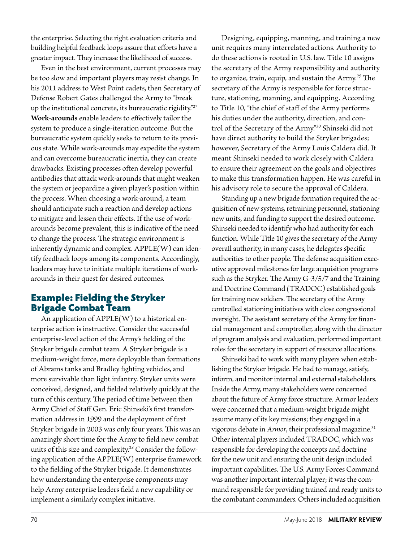the enterprise. Selecting the right evaluation criteria and building helpful feedback loops assure that efforts have a greater impact. They increase the likelihood of success.

Even in the best environment, current processes may be too slow and important players may resist change. In his 2011 address to West Point cadets, then Secretary of Defense Robert Gates challenged the Army to "break up the institutional concrete, its bureaucratic rigidity."<sup>27</sup> **Work-arounds** enable leaders to effectively tailor the system to produce a single-iteration outcome. But the bureaucratic system quickly seeks to return to its previous state. While work-arounds may expedite the system and can overcome bureaucratic inertia, they can create drawbacks. Existing processes often develop powerful antibodies that attack work-arounds that might weaken the system or jeopardize a given player's position within the process. When choosing a work-around, a team should anticipate such a reaction and develop actions to mitigate and lessen their effects. If the use of workarounds become prevalent, this is indicative of the need to change the process. The strategic environment is inherently dynamic and complex. APPLE(W) can identify feedback loops among its components. Accordingly, leaders may have to initiate multiple iterations of workarounds in their quest for desired outcomes.

#### Example: Fielding the Stryker Brigade Combat Team

An application of APPLE(W) to a historical enterprise action is instructive. Consider the successful enterprise-level action of the Army's fielding of the Stryker brigade combat team. A Stryker brigade is a medium-weight force, more deployable than formations of Abrams tanks and Bradley fighting vehicles, and more survivable than light infantry. Stryker units were conceived, designed, and fielded relatively quickly at the turn of this century. The period of time between then Army Chief of Staff Gen. Eric Shinseki's first transformation address in 1999 and the deployment of first Stryker brigade in 2003 was only four years. This was an amazingly short time for the Army to field new combat units of this size and complexity.<sup>28</sup> Consider the following application of the APPLE(W) enterprise framework to the fielding of the Stryker brigade. It demonstrates how understanding the enterprise components may help Army enterprise leaders field a new capability or implement a similarly complex initiative.

Designing, equipping, manning, and training a new unit requires many interrelated actions. Authority to do these actions is rooted in U.S. law. Title 10 assigns the secretary of the Army responsibility and authority to organize, train, equip, and sustain the Army.<sup>29</sup> The secretary of the Army is responsible for force structure, stationing, manning, and equipping. According to Title 10, "the chief of staff of the Army performs his duties under the authority, direction, and control of the Secretary of the Army."30 Shinseki did not have direct authority to build the Stryker brigades; however, Secretary of the Army Louis Caldera did. It meant Shinseki needed to work closely with Caldera to ensure their agreement on the goals and objectives to make this transformation happen. He was careful in his advisory role to secure the approval of Caldera.

Standing up a new brigade formation required the acquisition of new systems, retraining personnel, stationing new units, and funding to support the desired outcome. Shinseki needed to identify who had authority for each function. While Title 10 gives the secretary of the Army overall authority, in many cases, he delegates specific authorities to other people. The defense acquisition executive approved milestones for large acquisition programs such as the Stryker. The Army G-3/5/7 and the Training and Doctrine Command (TRADOC) established goals for training new soldiers. The secretary of the Army controlled stationing initiatives with close congressional oversight. The assistant secretary of the Army for financial management and comptroller, along with the director of program analysis and evaluation, performed important roles for the secretary in support of resource allocations.

Shinseki had to work with many players when establishing the Stryker brigade. He had to manage, satisfy, inform, and monitor internal and external stakeholders. Inside the Army, many stakeholders were concerned about the future of Army force structure. Armor leaders were concerned that a medium-weight brigade might assume many of its key missions; they engaged in a vigorous debate in Armor, their professional magazine.<sup>31</sup> Other internal players included TRADOC, which was responsible for developing the concepts and doctrine for the new unit and ensuring the unit design included important capabilities. The U.S. Army Forces Command was another important internal player; it was the command responsible for providing trained and ready units to the combatant commanders. Others included acquisition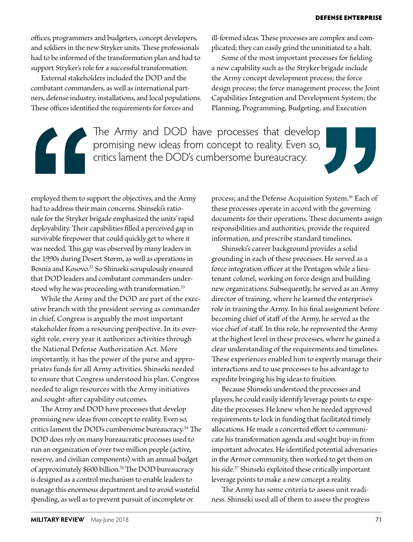offices, programmers and budgeters, concept developers, and soldiers in the new Stryker units. These professionals had to be informed of the transformation plan and had to support Stryker's role for a successful transformation.

External stakeholders included the DOD and the combatant commanders, as well as international partners, defense industry, installations, and local populations. These offices identified the requirements for forces and

ill-formed ideas. These processes are complex and complicated; they can easily grind the uninitiated to a halt.

Some of the most important processes for fielding a new capability such as the Stryker brigade include the Army concept development process; the force design process; the force management process; the Joint Capabilities Integration and Development System; the Planning, Programming, Budgeting, and Execution

The Army and DOD have processes that develop promising new ideas from concept to reality. Even so, critics lament the DOD's cumbersome bureaucracy.



employed them to support the objectives, and the Army had to address their main concerns. Shinseki's rationale for the Stryker brigade emphasized the units' rapid deployability. Their capabilities filled a perceived gap in survivable firepower that could quickly get to where it was needed. This gap was observed by many leaders in the 1990s during Desert Storm, as well as operations in Bosnia and Kosovo.<sup>32</sup> So Shinseki scrupulously ensured that DOD leaders and combatant commanders understood why he was proceeding with transformation.<sup>33</sup>

While the Army and the DOD are part of the executive branch with the president serving as commander in chief, Congress is arguably the most important stakeholder from a resourcing perspective. In its oversight role, every year it authorizes activities through the National Defense Authorization Act. More importantly, it has the power of the purse and appropriates funds for all Army activities. Shinseki needed to ensure that Congress understood his plan. Congress needed to align resources with the Army initiatives and sought-after capability outcomes.

The Army and DOD have processes that develop promising new ideas from concept to reality. Even so, critics lament the DOD's cumbersome bureaucracy.34 The DOD does rely on many bureaucratic processes used to run an organization of over two million people (active, reserve, and civilian components) with an annual budget of approximately \$600 billion.<sup>3</sup>5 The DOD bureaucracy is designed as a control mechanism to enable leaders to manage this enormous department and to avoid wasteful spending, as well as to prevent pursuit of incomplete or

process; and the Defense Acquisition System.<sup>36</sup> Each of these processes operate in accord with the governing documents for their operations. These documents assign responsibilities and authorities, provide the required information, and prescribe standard timelines.

Shinseki's career background provides a solid grounding in each of these processes. He served as a force integration officer at the Pentagon while a lieutenant colonel, working on force design and building new organizations. Subsequently, he served as an Army director of training, where he learned the enterprise's role in training the Army. In his final assignment before becoming chief of staff of the Army, he served as the vice chief of staff. In this role, he represented the Army at the highest level in these processes, where he gained a clear understanding of the requirements and timelines. These experiences enabled him to expertly manage their interactions and to use processes to his advantage to expedite bringing his big ideas to fruition.

Because Shinseki understood the processes and players, he could easily identify leverage points to expedite the processes. He knew when he needed approved requirements to lock in funding that facilitated timely allocations. He made a concerted effort to communicate his transformation agenda and sought buy-in from important advocates. He identified potential adversaries in the Armor community, then worked to get them on his side.<sup>37</sup> Shinseki exploited these critically important leverage points to make a new concept a reality.

The Army has some criteria to assess unit readiness. Shinseki used all of them to assess the progress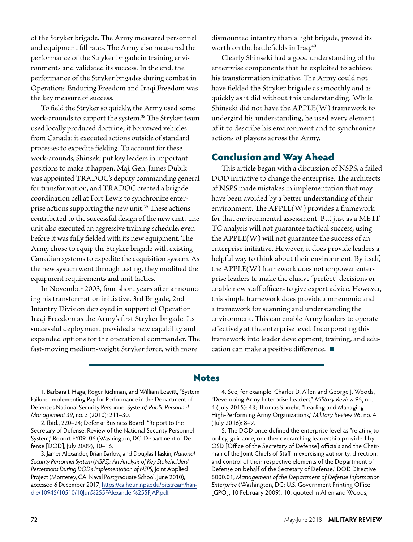of the Stryker brigade. The Army measured personnel and equipment fill rates. The Army also measured the performance of the Stryker brigade in training environments and validated its success. In the end, the performance of the Stryker brigades during combat in Operations Enduring Freedom and Iraqi Freedom was the key measure of success.

To field the Stryker so quickly, the Army used some work-arounds to support the system.<sup>38</sup> The Stryker team used locally produced doctrine; it borrowed vehicles from Canada; it executed actions outside of standard processes to expedite fielding. To account for these work-arounds, Shinseki put key leaders in important positions to make it happen. Maj. Gen. James Dubik was appointed TRADOC's deputy commanding general for transformation, and TRADOC created a brigade coordination cell at Fort Lewis to synchronize enterprise actions supporting the new unit.<sup>39</sup> These actions contributed to the successful design of the new unit. The unit also executed an aggressive training schedule, even before it was fully fielded with its new equipment. The Army chose to equip the Stryker brigade with existing Canadian systems to expedite the acquisition system. As the new system went through testing, they modified the equipment requirements and unit tactics.

In November 2003, four short years after announcing his transformation initiative, 3rd Brigade, 2nd Infantry Division deployed in support of Operation Iraqi Freedom as the Army's first Stryker brigade. Its successful deployment provided a new capability and expanded options for the operational commander. The fast-moving medium-weight Stryker force, with more

dismounted infantry than a light brigade, proved its worth on the battlefields in Iraq.40

Clearly Shinseki had a good understanding of the enterprise components that he exploited to achieve his transformation initiative. The Army could not have fielded the Stryker brigade as smoothly and as quickly as it did without this understanding. While Shinseki did not have the APPLE(W) framework to undergird his understanding, he used every element of it to describe his environment and to synchronize actions of players across the Army.

#### Conclusion and Way Ahead

This article began with a discussion of NSPS, a failed DOD initiative to change the enterprise. The architects of NSPS made mistakes in implementation that may have been avoided by a better understanding of their environment. The APPLE(W) provides a framework for that environmental assessment. But just as a METT-TC analysis will not guarantee tactical success, using the APPLE(W) will not guarantee the success of an enterprise initiative. However, it does provide leaders a helpful way to think about their environment. By itself, the APPLE(W) framework does not empower enterprise leaders to make the elusive "perfect" decisions or enable new staff officers to give expert advice. However, this simple framework does provide a mnemonic and a framework for scanning and understanding the environment. This can enable Army leaders to operate effectively at the enterprise level. Incorporating this framework into leader development, training, and education can make a positive difference.

#### Notes

1. Barbara I. Haga, Roger Richman, and William Leavitt, "System Failure: Implementing Pay for Performance in the Department of Defense's National Security Personnel System," *Public Personnel Management* 39, no. 3 (2010): 211–30.

2. Ibid., 220–24; Defense Business Board, "Report to the Secretary of Defense: Review of the National Security Personnel System," Report FY09–06 (Washington, DC: Department of Defense [DOD], July 2009), 10–16.

3. James Alexander, Brian Barlow, and Douglas Haskin, *National Security Personnel System (NSPS): An Analysis of Key Stakeholders' Perceptions During DOD's Implementation of NSPS,* Joint Applied Project (Monterey, CA: Naval Postgraduate School, June 2010), accessed 6 December 2017, https://calhoun.nps.edu/bitstream/handle/10945/10510/10Jun%255FAlexander%255FJAP.pdf.

4. See, for example, Charles D. Allen and George J. Woods, "Developing Army Enterprise Leaders," *Military Review* 95, no. 4 ( July 2015): 43; Thomas Spoehr, "Leading and Managing High-Performing Army Organizations," *Military Review* 96, no. 4 ( July 2016): 8–9.

5. The DOD once defined the enterprise level as "relating to policy, guidance, or other overarching leadership provided by OSD [Office of the Secretary of Defense] officials and the Chairman of the Joint Chiefs of Staff in exercising authority, direction, and control of their respective elements of the Department of Defense on behalf of the Secretary of Defense." DOD Directive 8000.01, M*anagement of the Department of Defense Information Enterprise* (Washington, DC: U.S. Government Printing Office [GPO], 10 February 2009), 10, quoted in Allen and Woods,